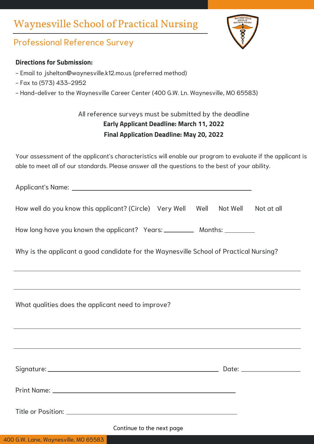## Waynesville School of Practical Nursing



## Professional Reference Survey

#### **Directions for Submission:**

- Email to jshelton@waynesville.k12.mo.us (preferred method)
- Fax to (573) 433-2952
- Hand-deliver to the Waynesville Career Center (400 G.W. Ln. Waynesville, MO 65583)

### All reference surveys must be submitted by the deadline **Early Applicant Deadline: March 11, 2022 Final Application Deadline: May 20, 2022**

Your assessment of the applicant's characteristics will enable our program to evaluate if the applicant is able to meet all of our standards. Please answer all the questions to the best of your ability.

Applicant's Name:

| How well do you know this applicant? (Circle) Very Well Well Not Well Not at all |  |  |  |  |
|----------------------------------------------------------------------------------|--|--|--|--|
|----------------------------------------------------------------------------------|--|--|--|--|

How long have you known the applicant? Years: \_\_\_\_\_\_\_\_\_\_\_ Months: \_\_\_\_\_\_\_\_\_

Why is the applicant a good candidate for the Waynesville School of Practical Nursing?

What qualities does the applicant need to improve?

| Continue to the next page |  |
|---------------------------|--|

#### 400 G.W. Lane, Waynesville, MO 65583